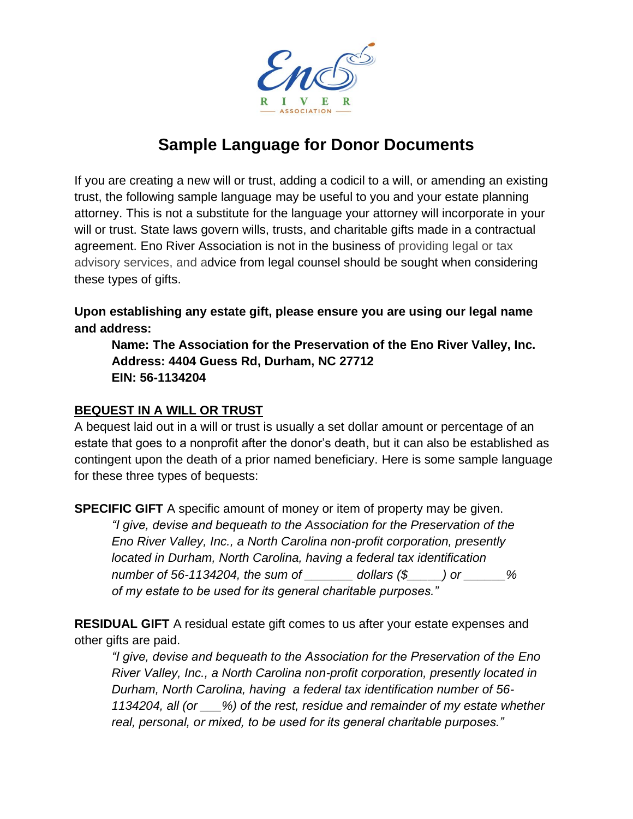

# **Sample Language for Donor Documents**

If you are creating a new will or trust, adding a codicil to a will, or amending an existing trust, the following sample language may be useful to you and your estate planning attorney. This is not a substitute for the language your attorney will incorporate in your will or trust. State laws govern wills, trusts, and charitable gifts made in a contractual agreement. Eno River Association is not in the business of providing legal or tax advisory services, and advice from legal counsel should be sought when considering these types of gifts.

**Upon establishing any estate gift, please ensure you are using our legal name and address:**

**Name: The Association for the Preservation of the Eno River Valley, Inc. Address: 4404 Guess Rd, Durham, NC 27712 EIN: 56-1134204**

#### **BEQUEST IN A WILL OR TRUST**

A bequest laid out in a will or trust is usually a set dollar amount or percentage of an estate that goes to a nonprofit after the donor's death, but it can also be established as contingent upon the death of a prior named beneficiary. Here is some sample language for these three types of bequests:

**SPECIFIC GIFT** A specific amount of money or item of property may be given.

*"I give, devise and bequeath to the Association for the Preservation of the Eno River Valley, Inc., a North Carolina non-profit corporation, presently located in Durham, North Carolina, having a federal tax identification number of 56-1134204, the sum of \_\_\_\_\_\_\_ dollars (\$\_\_\_\_\_) or \_\_\_\_\_\_% of my estate to be used for its general charitable purposes."*

**RESIDUAL GIFT** A residual estate gift comes to us after your estate expenses and other gifts are paid.

*"I give, devise and bequeath to the Association for the Preservation of the Eno River Valley, Inc., a North Carolina non-profit corporation, presently located in Durham, North Carolina, having a federal tax identification number of 56- 1134204, all (or \_\_\_%) of the rest, residue and remainder of my estate whether real, personal, or mixed, to be used for its general charitable purposes."*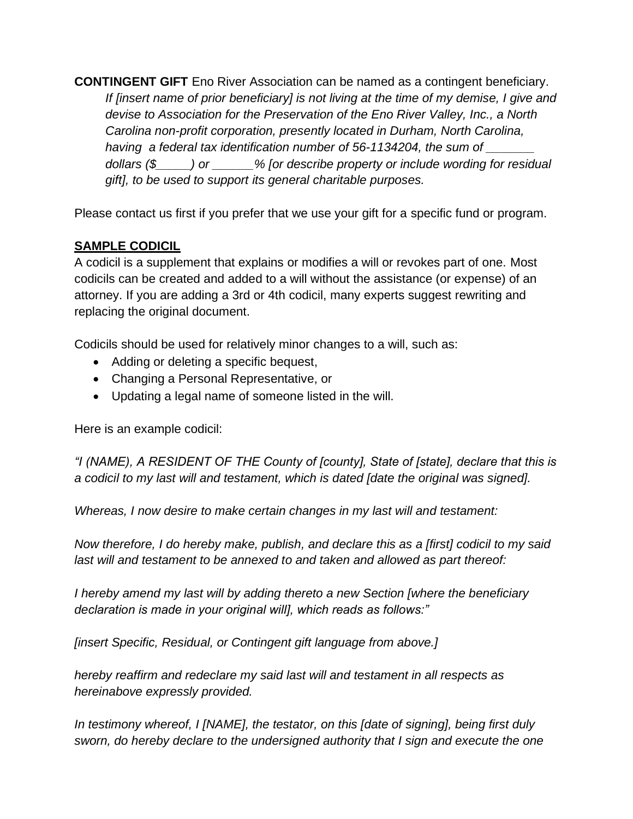**CONTINGENT GIFT** Eno River Association can be named as a contingent beneficiary. *If [insert name of prior beneficiary] is not living at the time of my demise, I give and devise to Association for the Preservation of the Eno River Valley, Inc., a North Carolina non-profit corporation, presently located in Durham, North Carolina, having a federal tax identification number of 56-1134204, the sum of \_\_\_\_\_\_\_ dollars (\$\_\_\_\_\_) or \_\_\_\_\_\_% [or describe property or include wording for residual gift], to be used to support its general charitable purposes.*

Please contact us first if you prefer that we use your gift for a specific fund or program.

# **SAMPLE CODICIL**

A codicil is a supplement that explains or modifies a will or revokes part of one. Most codicils can be created and added to a will without the assistance (or expense) of an attorney. If you are adding a 3rd or 4th codicil, many experts suggest rewriting and replacing the original document.

Codicils should be used for relatively minor changes to a will, such as:

- Adding or deleting a specific bequest,
- Changing a Personal Representative, or
- Updating a legal name of someone listed in the will.

Here is an example codicil:

*"I (NAME), A RESIDENT OF THE County of [county], State of [state], declare that this is a codicil to my last will and testament, which is dated [date the original was signed].*

*Whereas, I now desire to make certain changes in my last will and testament:*

*Now therefore, I do hereby make, publish, and declare this as a [first] codicil to my said last will and testament to be annexed to and taken and allowed as part thereof:*

*I hereby amend my last will by adding thereto a new Section [where the beneficiary declaration is made in your original will], which reads as follows:"*

*[insert Specific, Residual, or Contingent gift language from above.]*

*hereby reaffirm and redeclare my said last will and testament in all respects as hereinabove expressly provided.*

*In testimony whereof, I [NAME], the testator, on this [date of signing], being first duly sworn, do hereby declare to the undersigned authority that I sign and execute the one*